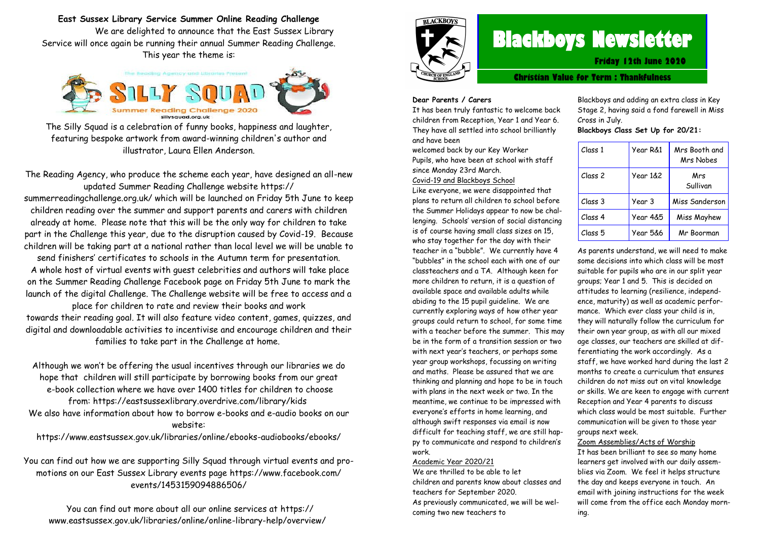**East Sussex Library Service Summer Online Reading Challenge** We are delighted to announce that the East Sussex Library Service will once again be running their annual Summer Reading Challenge.

This year the theme is:



The Silly Squad is a celebration of funny books, happiness and laughter, featuring bespoke artwork from award-winning children's author and illustrator, Laura Ellen Anderson.

The Reading Agency, who produce the scheme each year, have designed an all-new updated Summer Reading Challenge website https:// summerreadingchallenge.org.uk/ which will be launched on Friday 5th June to keep children reading over the summer and support parents and carers with children already at home. Please note that this will be the only way for children to take part in the Challenge this year, due to the disruption caused by Covid-19. Because children will be taking part at a national rather than local level we will be unable to send finishers' certificates to schools in the Autumn term for presentation. A whole host of virtual events with guest celebrities and authors will take place on the Summer Reading Challenge Facebook page on Friday 5th June to mark the launch of the digital Challenge. The Challenge website will be free to access and a

place for children to rate and review their books and work towards their reading goal. It will also feature video content, games, quizzes, and digital and downloadable activities to incentivise and encourage children and their families to take part in the Challenge at home.

Although we won't be offering the usual incentives through our libraries we do hope that children will still participate by borrowing books from our great e-book collection where we have over 1400 titles for children to choose from: https://eastsussexlibrary.overdrive.com/library/kids We also have information about how to borrow e-books and e-audio books on our website:

https://www.eastsussex.gov.uk/libraries/online/ebooks-audiobooks/ebooks/

You can find out how we are supporting Silly Squad through virtual events and promotions on our East Sussex Library events page https://www.facebook.com/ events/1453159094886506/

You can find out more about all our online services at https:// www.eastsussex.gov.uk/libraries/online/online-library-help/overview/



# **Blackboys Newsletter**

**Friday 12th June 2020**

**Christian Value for Term : Thankfulness**

#### **Dear Parents / Carers**

It has been truly fantastic to welcome back children from Reception, Year 1 and Year 6. They have all settled into school brilliantly and have been

welcomed back by our Key Worker

Pupils, who have been at school with staff since Monday 23rd March.

Covid-19 and Blackboys School

Like everyone, we were disappointed that plans to return all children to school before the Summer Holidays appear to now be challenging. Schools' version of social distancing is of course having small class sizes on 15, who stay together for the day with their teacher in a "bubble". We currently have 4 "bubbles" in the school each with one of our classteachers and a TA. Although keen for more children to return, it is a question of available space and available adults while abiding to the 15 pupil guideline. We are currently exploring ways of how other year groups could return to school, for some time with a teacher before the summer. This may be in the form of a transition session or two with next year's teachers, or perhaps some year group workshops, focussing on writing and maths. Please be assured that we are thinking and planning and hope to be in touch with plans in the next week or two. In the meantime, we continue to be impressed with everyone's efforts in home learning, and although swift responses via email is now difficult for teaching staff, we are still happy to communicate and respond to children's work.

#### Academic Year 2020/21

We are thrilled to be able to let children and parents know about classes and teachers for September 2020.

As previously communicated, we will be welcoming two new teachers to

Blackboys and adding an extra class in Key Stage 2, having said a fond farewell in Miss Cross in July.

**Blackboys Class Set Up for 20/21:**

| Class 1 | Year R&1 | Mrs Booth and<br>Mrs Nobes |
|---------|----------|----------------------------|
| Class 2 | Year 1&2 | Mrs<br>Sullivan            |
| Class 3 | Year 3   | Miss Sanderson             |
| Class 4 | Year 4&5 | Miss Mayhew                |
| Class 5 | Year 5&6 | Mr Boorman                 |

As parents understand, we will need to make some decisions into which class will be most suitable for pupils who are in our split year groups; Year 1 and 5. This is decided on attitudes to learning (resilience, independence, maturity) as well as academic performance. Which ever class your child is in, they will naturally follow the curriculum for their own year group, as with all our mixed age classes, our teachers are skilled at differentiating the work accordingly. As a staff, we have worked hard during the last 2 months to create a curriculum that ensures children do not miss out on vital knowledge or skills. We are keen to engage with current Reception and Year 4 parents to discuss which class would be most suitable. Further communication will be given to those year groups next week.

Zoom Assemblies/Acts of Worship

It has been brilliant to see so many home learners get involved with our daily assemblies via Zoom. We feel it helps structure the day and keeps everyone in touch. An email with joining instructions for the week will come from the office each Monday morning.